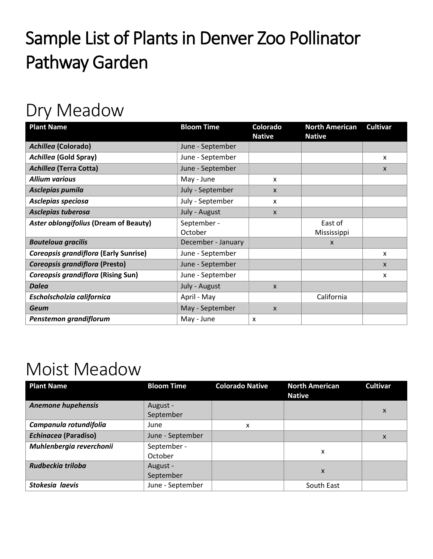## Sample List of Plants in Denver Zoo Pollinator Pathway Garden

## Dry Meadow

| <b>Plant Name</b>                            | <b>Bloom Time</b>  | Colorado<br><b>Native</b> | <b>North American</b><br><b>Native</b> | <b>Cultivar</b> |
|----------------------------------------------|--------------------|---------------------------|----------------------------------------|-----------------|
| <b>Achillea (Colorado)</b>                   | June - September   |                           |                                        |                 |
| <b>Achillea (Gold Spray)</b>                 | June - September   |                           |                                        | x               |
| <b>Achillea (Terra Cotta)</b>                | June - September   |                           |                                        | $\mathsf{x}$    |
| <b>Allium various</b>                        | May - June         | X                         |                                        |                 |
| Asclepias pumila                             | July - September   | $\mathsf{x}$              |                                        |                 |
| Asclepias speciosa                           | July - September   | X                         |                                        |                 |
| Asclepias tuberosa                           | July - August      | $\mathsf{x}$              |                                        |                 |
| <b>Aster oblongifolius (Dream of Beauty)</b> | September -        |                           | East of                                |                 |
|                                              | October            |                           | Mississippi                            |                 |
| <b>Bouteloua gracilis</b>                    | December - January |                           | $\mathsf{x}$                           |                 |
| Coreopsis grandiflora (Early Sunrise)        | June - September   |                           |                                        | x               |
| Coreopsis grandiflora (Presto)               | June - September   |                           |                                        | X               |
| <b>Coreopsis grandiflora (Rising Sun)</b>    | June - September   |                           |                                        | x               |
| <b>Dalea</b>                                 | July - August      | $\mathsf{x}$              |                                        |                 |
| Escholscholzia californica                   | April - May        |                           | California                             |                 |
| <b>Geum</b>                                  | May - September    | $\mathsf{x}$              |                                        |                 |
| Penstemon grandiflorum                       | May - June         | X                         |                                        |                 |

## Moist Meadow

| <b>Plant Name</b>           | <b>Bloom Time</b> | <b>Colorado Native</b> | <b>North American</b><br><b>Native</b> | <b>Cultivar</b> |
|-----------------------------|-------------------|------------------------|----------------------------------------|-----------------|
| <b>Anemone hupehensis</b>   | August -          |                        |                                        | X               |
|                             | September         |                        |                                        |                 |
| Campanula rotundifolia      | June              | x                      |                                        |                 |
| <b>Echinacea (Paradiso)</b> | June - September  |                        |                                        | X               |
| Muhlenbergia reverchonii    | September -       |                        | x                                      |                 |
|                             | October           |                        |                                        |                 |
| Rudbeckia triloba           | August -          |                        | X                                      |                 |
|                             | September         |                        |                                        |                 |
| Stokesia laevis             | June - September  |                        | South East                             |                 |